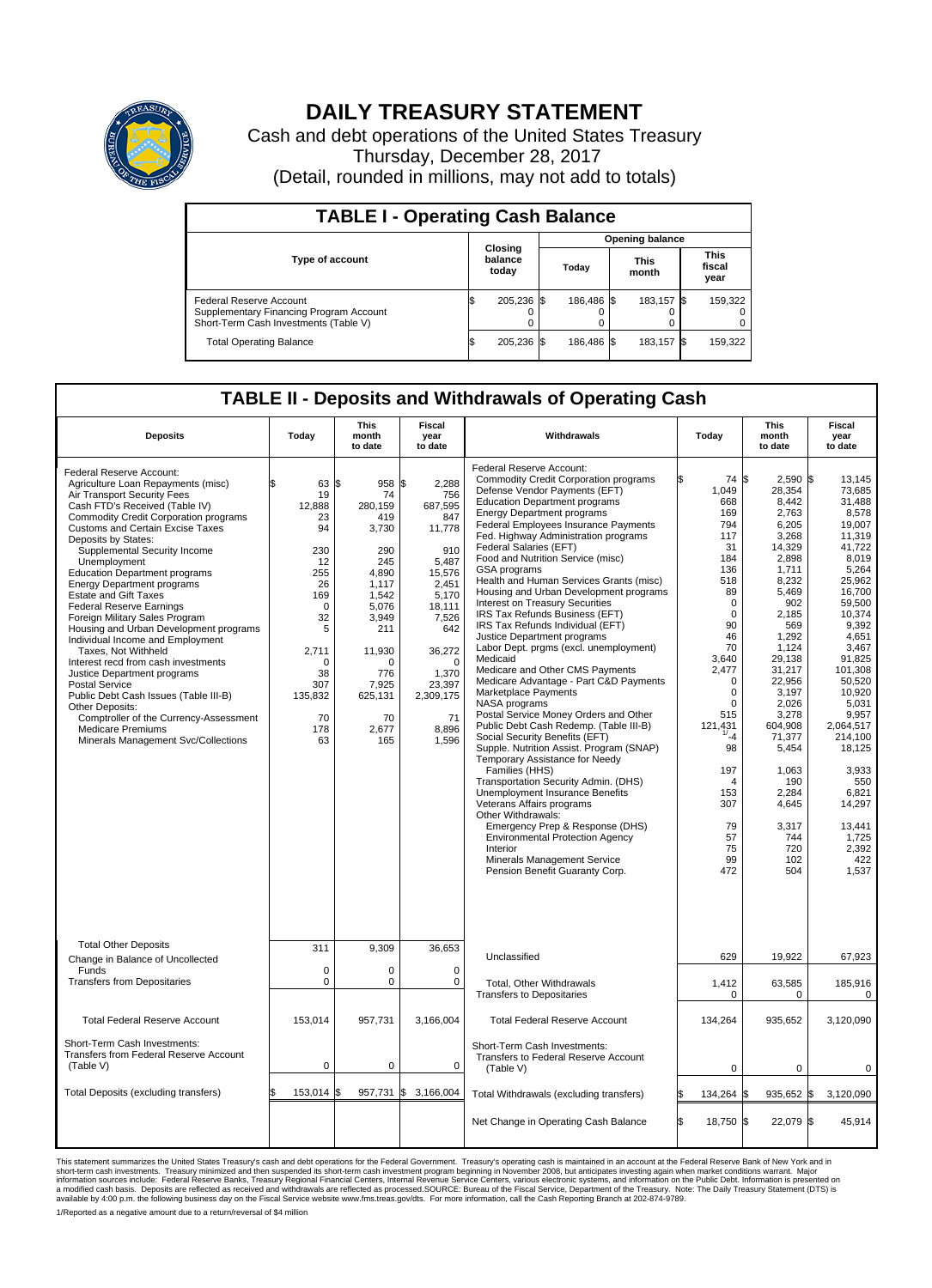

## **DAILY TREASURY STATEMENT**

Cash and debt operations of the United States Treasury Thursday, December 28, 2017 (Detail, rounded in millions, may not add to totals)

| <b>TABLE I - Operating Cash Balance</b>                                                                     |    |                             |                        |            |  |                      |  |                               |  |
|-------------------------------------------------------------------------------------------------------------|----|-----------------------------|------------------------|------------|--|----------------------|--|-------------------------------|--|
|                                                                                                             |    |                             | <b>Opening balance</b> |            |  |                      |  |                               |  |
| <b>Type of account</b>                                                                                      |    | Closing<br>balance<br>today |                        | Today      |  | <b>This</b><br>month |  | <b>This</b><br>fiscal<br>year |  |
| Federal Reserve Account<br>Supplementary Financing Program Account<br>Short-Term Cash Investments (Table V) |    | 205,236 \$                  |                        | 186.486 \$ |  | 183.157 \$           |  | 159,322                       |  |
| <b>Total Operating Balance</b>                                                                              | ß. | 205,236 \$                  |                        | 186,486 \$ |  | 183,157 \$           |  | 159,322                       |  |

## **TABLE II - Deposits and Withdrawals of Operating Cash**

| <b>Deposits</b>                                                                                                                                                                                                                                                                                                                                                                                                                                                                                                                                                                                                                                                                                                                                                                                                                                    | Today                                                                                                                                                      | <b>This</b><br><b>Fiscal</b><br>month<br>Withdrawals<br>year<br>to date<br>to date                                                                                     |                                                                                                                                                                                                        |                                                                                                                                                                                                                                                                                                                                                                                                                                                                                                                                                                                                                                                                                                                                                                                                                                                                                                                                                                                                                                                                                                                                                                                                                                                                                           |                                                                                                                                                                                                                                                                                    |                                                                                                                                                                                                                                                                                                               |                                                                                                                                                                                                                                                                                                                                    |  | Today | <b>This</b><br>month<br>to date | Fiscal<br>year<br>to date |  |
|----------------------------------------------------------------------------------------------------------------------------------------------------------------------------------------------------------------------------------------------------------------------------------------------------------------------------------------------------------------------------------------------------------------------------------------------------------------------------------------------------------------------------------------------------------------------------------------------------------------------------------------------------------------------------------------------------------------------------------------------------------------------------------------------------------------------------------------------------|------------------------------------------------------------------------------------------------------------------------------------------------------------|------------------------------------------------------------------------------------------------------------------------------------------------------------------------|--------------------------------------------------------------------------------------------------------------------------------------------------------------------------------------------------------|-------------------------------------------------------------------------------------------------------------------------------------------------------------------------------------------------------------------------------------------------------------------------------------------------------------------------------------------------------------------------------------------------------------------------------------------------------------------------------------------------------------------------------------------------------------------------------------------------------------------------------------------------------------------------------------------------------------------------------------------------------------------------------------------------------------------------------------------------------------------------------------------------------------------------------------------------------------------------------------------------------------------------------------------------------------------------------------------------------------------------------------------------------------------------------------------------------------------------------------------------------------------------------------------|------------------------------------------------------------------------------------------------------------------------------------------------------------------------------------------------------------------------------------------------------------------------------------|---------------------------------------------------------------------------------------------------------------------------------------------------------------------------------------------------------------------------------------------------------------------------------------------------------------|------------------------------------------------------------------------------------------------------------------------------------------------------------------------------------------------------------------------------------------------------------------------------------------------------------------------------------|--|-------|---------------------------------|---------------------------|--|
| Federal Reserve Account:<br>Agriculture Loan Repayments (misc)<br>Air Transport Security Fees<br>Cash FTD's Received (Table IV)<br><b>Commodity Credit Corporation programs</b><br>Customs and Certain Excise Taxes<br>Deposits by States:<br>Supplemental Security Income<br>Unemployment<br><b>Education Department programs</b><br><b>Energy Department programs</b><br><b>Estate and Gift Taxes</b><br><b>Federal Reserve Earnings</b><br>Foreign Military Sales Program<br>Housing and Urban Development programs<br>Individual Income and Employment<br>Taxes. Not Withheld<br>Interest recd from cash investments<br>Justice Department programs<br>Postal Service<br>Public Debt Cash Issues (Table III-B)<br>Other Deposits:<br>Comptroller of the Currency-Assessment<br><b>Medicare Premiums</b><br>Minerals Management Svc/Collections | 63 S<br>\$<br>19<br>12,888<br>23<br>94<br>230<br>12<br>255<br>26<br>169<br>$\mathbf 0$<br>32<br>5<br>2,711<br>0<br>38<br>307<br>135,832<br>70<br>178<br>63 | 958<br>74<br>280.159<br>419<br>3,730<br>290<br>245<br>4,890<br>1,117<br>1,542<br>5.076<br>3,949<br>211<br>11,930<br>n<br>776<br>7,925<br>625,131<br>70<br>2,677<br>165 | l\$<br>2.288<br>756<br>687,595<br>847<br>11,778<br>910<br>5,487<br>15,576<br>2,451<br>5,170<br>18,111<br>7,526<br>642<br>36,272<br>$\mathbf 0$<br>1,370<br>23,397<br>2,309,175<br>71<br>8.896<br>1,596 | Federal Reserve Account:<br><b>Commodity Credit Corporation programs</b><br>Defense Vendor Payments (EFT)<br><b>Education Department programs</b><br><b>Energy Department programs</b><br><b>Federal Employees Insurance Payments</b><br>Fed. Highway Administration programs<br>Federal Salaries (EFT)<br>Food and Nutrition Service (misc)<br><b>GSA</b> programs<br>Health and Human Services Grants (misc)<br>Housing and Urban Development programs<br>Interest on Treasury Securities<br>IRS Tax Refunds Business (EFT)<br>IRS Tax Refunds Individual (EFT)<br>Justice Department programs<br>Labor Dept. prgms (excl. unemployment)<br>Medicaid<br>Medicare and Other CMS Payments<br>Medicare Advantage - Part C&D Payments<br>Marketplace Payments<br>NASA programs<br>Postal Service Money Orders and Other<br>Public Debt Cash Redemp. (Table III-B)<br>Social Security Benefits (EFT)<br>Supple. Nutrition Assist. Program (SNAP)<br>Temporary Assistance for Needy<br>Families (HHS)<br>Transportation Security Admin. (DHS)<br>Unemployment Insurance Benefits<br>Veterans Affairs programs<br>Other Withdrawals:<br>Emergency Prep & Response (DHS)<br><b>Environmental Protection Agency</b><br>Interior<br>Minerals Management Service<br>Pension Benefit Guaranty Corp. | 74 \$<br>1,049<br>668<br>169<br>794<br>117<br>31<br>184<br>136<br>518<br>89<br>$\mathbf 0$<br>$\mathbf 0$<br>90<br>46<br>70<br>3,640<br>2,477<br>0<br>$\mathbf 0$<br>$\Omega$<br>515<br>121,431<br>1/4<br>98<br>197<br>$\overline{4}$<br>153<br>307<br>79<br>57<br>75<br>99<br>472 | $2,590$ \$<br>28,354<br>8,442<br>2,763<br>6,205<br>3,268<br>14,329<br>2,898<br>1,711<br>8,232<br>5,469<br>902<br>2.185<br>569<br>1,292<br>1,124<br>29.138<br>31,217<br>22,956<br>3,197<br>2,026<br>3.278<br>604,908<br>71,377<br>5,454<br>1,063<br>190<br>2,284<br>4,645<br>3,317<br>744<br>720<br>102<br>504 | 13.145<br>73,685<br>31,488<br>8,578<br>19,007<br>11.319<br>41,722<br>8,019<br>5,264<br>25.962<br>16,700<br>59,500<br>10.374<br>9,392<br>4,651<br>3,467<br>91.825<br>101,308<br>50,520<br>10,920<br>5,031<br>9.957<br>2,064,517<br>214.100<br>18,125<br>3,933<br>550<br>6.821<br>14,297<br>13,441<br>1,725<br>2,392<br>422<br>1,537 |  |       |                                 |                           |  |
| <b>Total Other Deposits</b><br>Change in Balance of Uncollected                                                                                                                                                                                                                                                                                                                                                                                                                                                                                                                                                                                                                                                                                                                                                                                    | 311                                                                                                                                                        | 9,309                                                                                                                                                                  | 36,653                                                                                                                                                                                                 | Unclassified                                                                                                                                                                                                                                                                                                                                                                                                                                                                                                                                                                                                                                                                                                                                                                                                                                                                                                                                                                                                                                                                                                                                                                                                                                                                              | 629                                                                                                                                                                                                                                                                                | 19,922                                                                                                                                                                                                                                                                                                        | 67,923                                                                                                                                                                                                                                                                                                                             |  |       |                                 |                           |  |
| Funds<br><b>Transfers from Depositaries</b>                                                                                                                                                                                                                                                                                                                                                                                                                                                                                                                                                                                                                                                                                                                                                                                                        | $\mathbf 0$<br>$\pmb{0}$                                                                                                                                   | $\Omega$<br>0                                                                                                                                                          | 0<br>$\mathbf 0$                                                                                                                                                                                       | Total, Other Withdrawals<br><b>Transfers to Depositaries</b>                                                                                                                                                                                                                                                                                                                                                                                                                                                                                                                                                                                                                                                                                                                                                                                                                                                                                                                                                                                                                                                                                                                                                                                                                              | 1,412<br>0                                                                                                                                                                                                                                                                         | 63,585<br>0                                                                                                                                                                                                                                                                                                   | 185,916<br>$\mathbf 0$                                                                                                                                                                                                                                                                                                             |  |       |                                 |                           |  |
| <b>Total Federal Reserve Account</b>                                                                                                                                                                                                                                                                                                                                                                                                                                                                                                                                                                                                                                                                                                                                                                                                               | 153,014                                                                                                                                                    | 957,731                                                                                                                                                                | 3,166,004                                                                                                                                                                                              | <b>Total Federal Reserve Account</b>                                                                                                                                                                                                                                                                                                                                                                                                                                                                                                                                                                                                                                                                                                                                                                                                                                                                                                                                                                                                                                                                                                                                                                                                                                                      | 134,264                                                                                                                                                                                                                                                                            | 935,652                                                                                                                                                                                                                                                                                                       | 3,120,090                                                                                                                                                                                                                                                                                                                          |  |       |                                 |                           |  |
| Short-Term Cash Investments:<br>Transfers from Federal Reserve Account<br>(Table V)                                                                                                                                                                                                                                                                                                                                                                                                                                                                                                                                                                                                                                                                                                                                                                | $\mathbf 0$                                                                                                                                                | 0                                                                                                                                                                      | 0                                                                                                                                                                                                      | Short-Term Cash Investments:<br>Transfers to Federal Reserve Account<br>(Table V)                                                                                                                                                                                                                                                                                                                                                                                                                                                                                                                                                                                                                                                                                                                                                                                                                                                                                                                                                                                                                                                                                                                                                                                                         | 0                                                                                                                                                                                                                                                                                  | $\Omega$                                                                                                                                                                                                                                                                                                      | $\Omega$                                                                                                                                                                                                                                                                                                                           |  |       |                                 |                           |  |
| Total Deposits (excluding transfers)                                                                                                                                                                                                                                                                                                                                                                                                                                                                                                                                                                                                                                                                                                                                                                                                               | 153,014                                                                                                                                                    | 957,731 \$<br>\$                                                                                                                                                       | 3,166,004                                                                                                                                                                                              | Total Withdrawals (excluding transfers)                                                                                                                                                                                                                                                                                                                                                                                                                                                                                                                                                                                                                                                                                                                                                                                                                                                                                                                                                                                                                                                                                                                                                                                                                                                   | 134,264                                                                                                                                                                                                                                                                            | 935,652 \$<br>l\$                                                                                                                                                                                                                                                                                             | 3,120,090                                                                                                                                                                                                                                                                                                                          |  |       |                                 |                           |  |
|                                                                                                                                                                                                                                                                                                                                                                                                                                                                                                                                                                                                                                                                                                                                                                                                                                                    |                                                                                                                                                            |                                                                                                                                                                        |                                                                                                                                                                                                        | Net Change in Operating Cash Balance                                                                                                                                                                                                                                                                                                                                                                                                                                                                                                                                                                                                                                                                                                                                                                                                                                                                                                                                                                                                                                                                                                                                                                                                                                                      | Ŝ.<br>18.750 \$                                                                                                                                                                                                                                                                    | 22.079 \$                                                                                                                                                                                                                                                                                                     | 45.914                                                                                                                                                                                                                                                                                                                             |  |       |                                 |                           |  |

This statement summarizes the United States Treasury's cash and debt operations for the Federal Government. Treasury soperating in November 2008, but anticiarded in a cocount at the Federal Reserve Bank of New York and in<br>

1/Reported as a negative amount due to a return/reversal of \$4 million